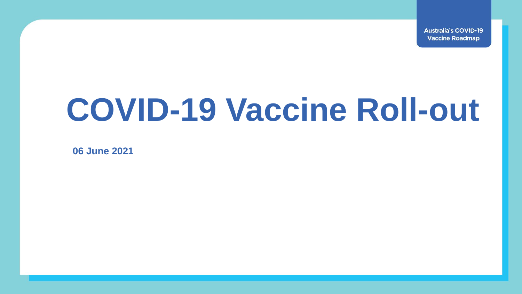**Australia's COVID-19 Vaccine Roadmap** 

## **COVID-19 Vaccine Roll-out**

**06 June 2021**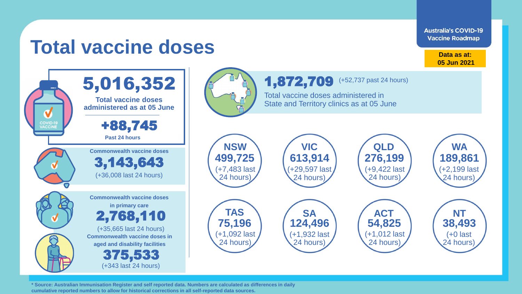**Australia's COVID-19 Vaccine Roadmap** 

## **Total vaccine doses**

**Data as at: 05 Jun 2021**



**\* Source: Australian Immunisation Register and self reported data. Numbers are calculated as differences in daily cumulative reported numbers to allow for historical corrections in all self-reported data sources.**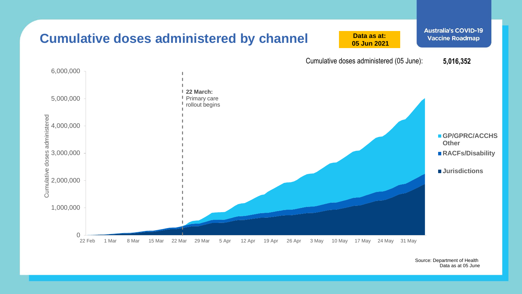

Source: Department of Health Data as at 05 June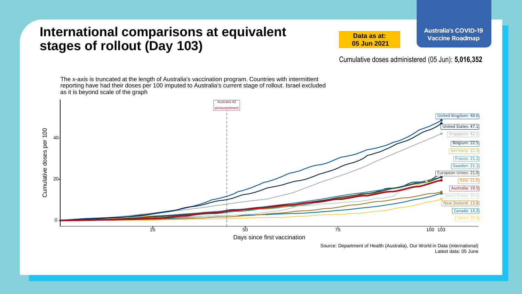## **International comparisons at equivalent stages of rollout (Day 103)**

**Data as at: 05 Jun 2021** **Australia's COVID-19 Vaccine Roadmap** 

Cumulative doses administered (05 Jun): **5,016,352**

The x-axis is truncated at the length of Australia's vaccination program. Countries with intermittent reporting have had their doses per 100 imputed to Australia's current stage of rollout. Israel excluded as it is beyond scale of the graph



Source: Department of Health (Australia), Our World in Data (international) Latest data: 05 June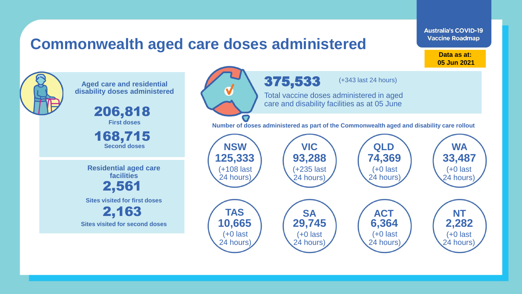## **Commonwealth aged care doses administered**

**Data as at: Data as at: 18 Apr 2021 05 Jun 2021**